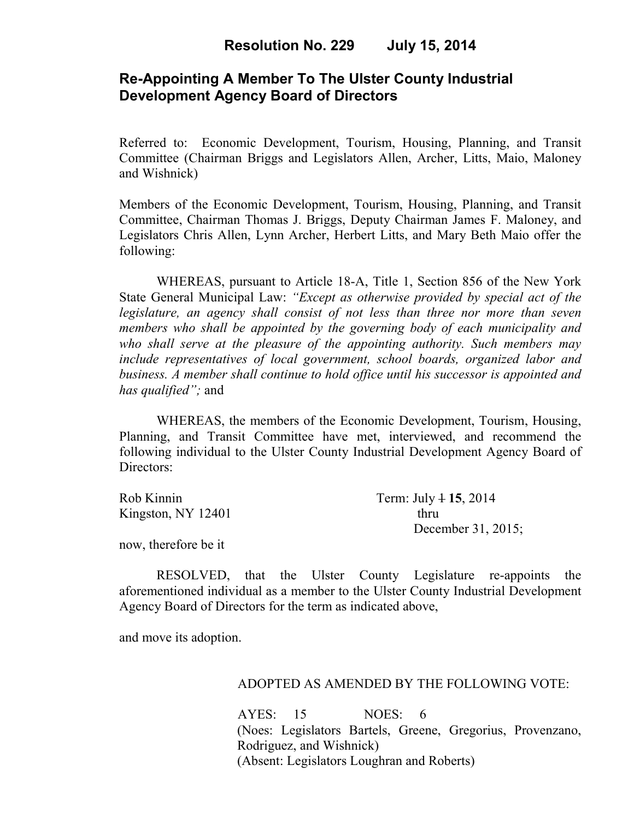# **Re-Appointing A Member To The Ulster County Industrial Development Agency Board of Directors**

Referred to: Economic Development, Tourism, Housing, Planning, and Transit Committee (Chairman Briggs and Legislators Allen, Archer, Litts, Maio, Maloney and Wishnick)

Members of the Economic Development, Tourism, Housing, Planning, and Transit Committee, Chairman Thomas J. Briggs, Deputy Chairman James F. Maloney, and Legislators Chris Allen, Lynn Archer, Herbert Litts, and Mary Beth Maio offer the following:

WHEREAS, pursuant to Article 18-A, Title 1, Section 856 of the New York State General Municipal Law: *"Except as otherwise provided by special act of the legislature, an agency shall consist of not less than three nor more than seven members who shall be appointed by the governing body of each municipality and who shall serve at the pleasure of the appointing authority. Such members may include representatives of local government, school boards, organized labor and business. A member shall continue to hold office until his successor is appointed and has qualified";* and

WHEREAS, the members of the Economic Development, Tourism, Housing, Planning, and Transit Committee have met, interviewed, and recommend the following individual to the Ulster County Industrial Development Agency Board of Directors:

| Rob Kinnin           | Term: July $4$ 15, 2014 |
|----------------------|-------------------------|
| Kingston, NY $12401$ | thru                    |
|                      | December 31, 2015;      |

now, therefore be it

RESOLVED, that the Ulster County Legislature re-appoints the aforementioned individual as a member to the Ulster County Industrial Development Agency Board of Directors for the term as indicated above,

and move its adoption.

## ADOPTED AS AMENDED BY THE FOLLOWING VOTE:

 AYES: 15 NOES: 6 (Noes: Legislators Bartels, Greene, Gregorius, Provenzano, Rodriguez, and Wishnick) (Absent: Legislators Loughran and Roberts)